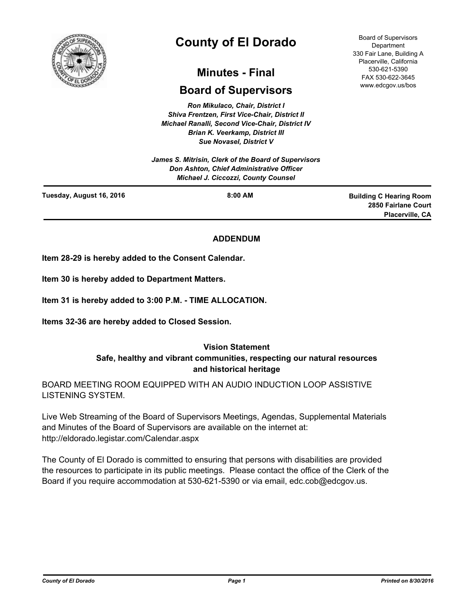

# **County of El Dorado**

# **Minutes - Final**

# **Board of Supervisors**

*Ron Mikulaco, Chair, District I Shiva Frentzen, First Vice-Chair, District II Michael Ranalli, Second Vice-Chair, District IV Brian K. Veerkamp, District III Sue Novasel, District V* 

*James S. Mitrisin, Clerk of the Board of Supervisors Don Ashton, Chief Administrative Officer Michael J. Ciccozzi, County Counsel*

Board of Supervisors **Department** 330 Fair Lane, Building A Placerville, California 530-621-5390 FAX 530-622-3645 www.edcgov.us/bos

| Tuesday, August 16, 2016 | $8:00$ AM | <b>Building C Hearing Room</b> |
|--------------------------|-----------|--------------------------------|
|                          |           | 2850 Fairlane Court            |
|                          |           | Placerville, CA                |

# **ADDENDUM**

**Item 28-29 is hereby added to the Consent Calendar.**

**Item 30 is hereby added to Department Matters.**

**Item 31 is hereby added to 3:00 P.M. - TIME ALLOCATION.**

**Items 32-36 are hereby added to Closed Session.**

# **Vision Statement Safe, healthy and vibrant communities, respecting our natural resources and historical heritage**

BOARD MEETING ROOM EQUIPPED WITH AN AUDIO INDUCTION LOOP ASSISTIVE LISTENING SYSTEM.

Live Web Streaming of the Board of Supervisors Meetings, Agendas, Supplemental Materials and Minutes of the Board of Supervisors are available on the internet at: http://eldorado.legistar.com/Calendar.aspx

The County of El Dorado is committed to ensuring that persons with disabilities are provided the resources to participate in its public meetings. Please contact the office of the Clerk of the Board if you require accommodation at 530-621-5390 or via email, edc.cob@edcgov.us.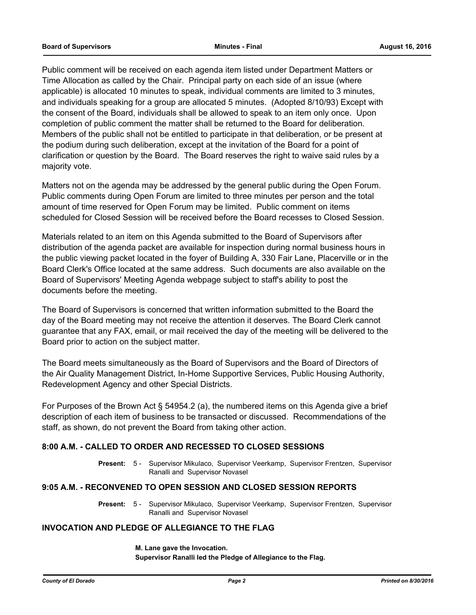Public comment will be received on each agenda item listed under Department Matters or Time Allocation as called by the Chair. Principal party on each side of an issue (where applicable) is allocated 10 minutes to speak, individual comments are limited to 3 minutes, and individuals speaking for a group are allocated 5 minutes. (Adopted 8/10/93) Except with the consent of the Board, individuals shall be allowed to speak to an item only once. Upon completion of public comment the matter shall be returned to the Board for deliberation. Members of the public shall not be entitled to participate in that deliberation, or be present at the podium during such deliberation, except at the invitation of the Board for a point of clarification or question by the Board. The Board reserves the right to waive said rules by a majority vote.

Matters not on the agenda may be addressed by the general public during the Open Forum. Public comments during Open Forum are limited to three minutes per person and the total amount of time reserved for Open Forum may be limited. Public comment on items scheduled for Closed Session will be received before the Board recesses to Closed Session.

Materials related to an item on this Agenda submitted to the Board of Supervisors after distribution of the agenda packet are available for inspection during normal business hours in the public viewing packet located in the foyer of Building A, 330 Fair Lane, Placerville or in the Board Clerk's Office located at the same address. Such documents are also available on the Board of Supervisors' Meeting Agenda webpage subject to staff's ability to post the documents before the meeting.

The Board of Supervisors is concerned that written information submitted to the Board the day of the Board meeting may not receive the attention it deserves. The Board Clerk cannot guarantee that any FAX, email, or mail received the day of the meeting will be delivered to the Board prior to action on the subject matter.

The Board meets simultaneously as the Board of Supervisors and the Board of Directors of the Air Quality Management District, In-Home Supportive Services, Public Housing Authority, Redevelopment Agency and other Special Districts.

For Purposes of the Brown Act § 54954.2 (a), the numbered items on this Agenda give a brief description of each item of business to be transacted or discussed. Recommendations of the staff, as shown, do not prevent the Board from taking other action.

# **8:00 A.M. - CALLED TO ORDER AND RECESSED TO CLOSED SESSIONS**

Present: 5 - Supervisor Mikulaco, Supervisor Veerkamp, Supervisor Frentzen, Supervisor Ranalli and Supervisor Novasel

#### **9:05 A.M. - RECONVENED TO OPEN SESSION AND CLOSED SESSION REPORTS**

Present: 5 - Supervisor Mikulaco, Supervisor Veerkamp, Supervisor Frentzen, Supervisor Ranalli and Supervisor Novasel

#### **INVOCATION AND PLEDGE OF ALLEGIANCE TO THE FLAG**

**M. Lane gave the Invocation. Supervisor Ranalli led the Pledge of Allegiance to the Flag.**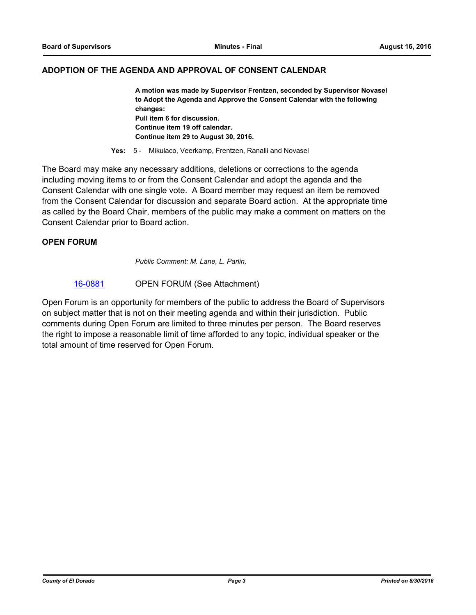# **ADOPTION OF THE AGENDA AND APPROVAL OF CONSENT CALENDAR**

**A motion was made by Supervisor Frentzen, seconded by Supervisor Novasel to Adopt the Agenda and Approve the Consent Calendar with the following changes: Pull item 6 for discussion. Continue item 19 off calendar. Continue item 29 to August 30, 2016.**

**Yes:** 5 - Mikulaco, Veerkamp, Frentzen, Ranalli and Novasel

The Board may make any necessary additions, deletions or corrections to the agenda including moving items to or from the Consent Calendar and adopt the agenda and the Consent Calendar with one single vote. A Board member may request an item be removed from the Consent Calendar for discussion and separate Board action. At the appropriate time as called by the Board Chair, members of the public may make a comment on matters on the Consent Calendar prior to Board action.

#### **OPEN FORUM**

*Public Comment: M. Lane, L. Parlin,*

[16-0881](http://eldorado.legistar.com/gateway.aspx?m=l&id=/matter.aspx?key=21539) OPEN FORUM (See Attachment)

Open Forum is an opportunity for members of the public to address the Board of Supervisors on subject matter that is not on their meeting agenda and within their jurisdiction. Public comments during Open Forum are limited to three minutes per person. The Board reserves the right to impose a reasonable limit of time afforded to any topic, individual speaker or the total amount of time reserved for Open Forum.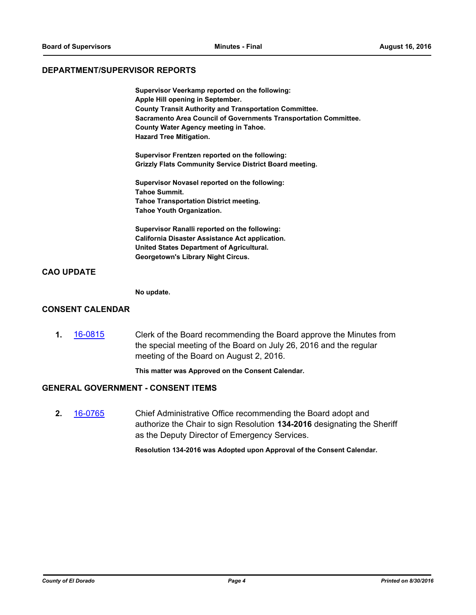#### **DEPARTMENT/SUPERVISOR REPORTS**

**Supervisor Veerkamp reported on the following: Apple Hill opening in September. County Transit Authority and Transportation Committee. Sacramento Area Council of Governments Transportation Committee. County Water Agency meeting in Tahoe. Hazard Tree Mitigation.**

**Supervisor Frentzen reported on the following: Grizzly Flats Community Service District Board meeting.**

**Supervisor Novasel reported on the following: Tahoe Summit. Tahoe Transportation District meeting. Tahoe Youth Organization.**

**Supervisor Ranalli reported on the following: California Disaster Assistance Act application. United States Department of Agricultural. Georgetown's Library Night Circus.**

#### **CAO UPDATE**

**No update.**

#### **CONSENT CALENDAR**

**1.** [16-0815](http://eldorado.legistar.com/gateway.aspx?m=l&id=/matter.aspx?key=21473) Clerk of the Board recommending the Board approve the Minutes from the special meeting of the Board on July 26, 2016 and the regular meeting of the Board on August 2, 2016.

**This matter was Approved on the Consent Calendar.**

#### **GENERAL GOVERNMENT - CONSENT ITEMS**

**2.** [16-0765](http://eldorado.legistar.com/gateway.aspx?m=l&id=/matter.aspx?key=21423) Chief Administrative Office recommending the Board adopt and authorize the Chair to sign Resolution **134-2016** designating the Sheriff as the Deputy Director of Emergency Services.

**Resolution 134-2016 was Adopted upon Approval of the Consent Calendar.**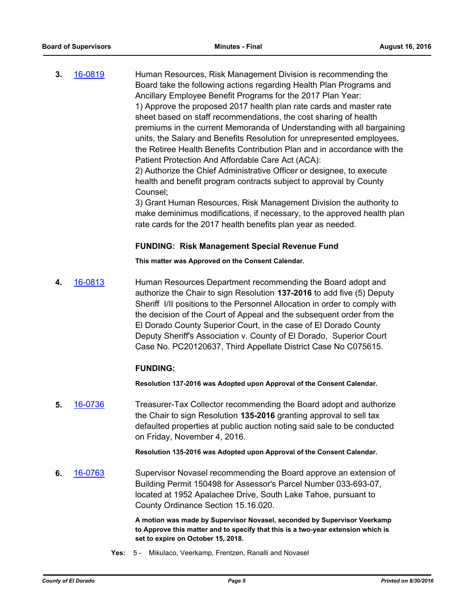**3.** [16-0819](http://eldorado.legistar.com/gateway.aspx?m=l&id=/matter.aspx?key=21477) Human Resources, Risk Management Division is recommending the Board take the following actions regarding Health Plan Programs and Ancillary Employee Benefit Programs for the 2017 Plan Year: 1) Approve the proposed 2017 health plan rate cards and master rate sheet based on staff recommendations, the cost sharing of health premiums in the current Memoranda of Understanding with all bargaining units, the Salary and Benefits Resolution for unrepresented employees, the Retiree Health Benefits Contribution Plan and in accordance with the Patient Protection And Affordable Care Act (ACA): 2) Authorize the Chief Administrative Officer or designee, to execute health and benefit program contracts subject to approval by County Counsel;

> 3) Grant Human Resources, Risk Management Division the authority to make deminimus modifications, if necessary, to the approved health plan rate cards for the 2017 health benefits plan year as needed.

#### **FUNDING: Risk Management Special Revenue Fund**

**This matter was Approved on the Consent Calendar.**

**4.** [16-0813](http://eldorado.legistar.com/gateway.aspx?m=l&id=/matter.aspx?key=21471) Human Resources Department recommending the Board adopt and authorize the Chair to sign Resolution **137-2016** to add five (5) Deputy Sheriff I/II positions to the Personnel Allocation in order to comply with the decision of the Court of Appeal and the subsequent order from the El Dorado County Superior Court, in the case of El Dorado County Deputy Sheriff's Association v. County of El Dorado, Superior Court Case No. PC20120637, Third Appellate District Case No C075615.

# **FUNDING:**

**Resolution 137-2016 was Adopted upon Approval of the Consent Calendar.**

**5.** [16-0736](http://eldorado.legistar.com/gateway.aspx?m=l&id=/matter.aspx?key=21394) Treasurer-Tax Collector recommending the Board adopt and authorize the Chair to sign Resolution **135-2016** granting approval to sell tax defaulted properties at public auction noting said sale to be conducted on Friday, November 4, 2016.

**Resolution 135-2016 was Adopted upon Approval of the Consent Calendar.**

**6.** [16-0763](http://eldorado.legistar.com/gateway.aspx?m=l&id=/matter.aspx?key=21421) Supervisor Novasel recommending the Board approve an extension of Building Permit 150498 for Assessor's Parcel Number 033-693-07, located at 1952 Apalachee Drive, South Lake Tahoe, pursuant to County Ordinance Section 15.16.020.

> **A motion was made by Supervisor Novasel, seconded by Supervisor Veerkamp to Approve this matter and to specify that this is a two-year extension which is set to expire on October 15, 2018.**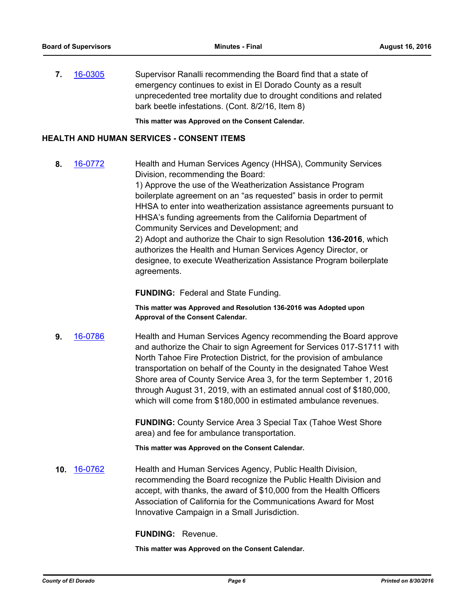**7.** [16-0305](http://eldorado.legistar.com/gateway.aspx?m=l&id=/matter.aspx?key=20961) Supervisor Ranalli recommending the Board find that a state of emergency continues to exist in El Dorado County as a result unprecedented tree mortality due to drought conditions and related bark beetle infestations. (Cont. 8/2/16, Item 8)

**This matter was Approved on the Consent Calendar.**

# **HEALTH AND HUMAN SERVICES - CONSENT ITEMS**

**8.** [16-0772](http://eldorado.legistar.com/gateway.aspx?m=l&id=/matter.aspx?key=21430) Health and Human Services Agency (HHSA), Community Services Division, recommending the Board: 1) Approve the use of the Weatherization Assistance Program boilerplate agreement on an "as requested" basis in order to permit HHSA to enter into weatherization assistance agreements pursuant to HHSA's funding agreements from the California Department of Community Services and Development; and 2) Adopt and authorize the Chair to sign Resolution **136-2016**, which authorizes the Health and Human Services Agency Director, or designee, to execute Weatherization Assistance Program boilerplate agreements.

**FUNDING:** Federal and State Funding.

**This matter was Approved and Resolution 136-2016 was Adopted upon Approval of the Consent Calendar.**

**9.** [16-0786](http://eldorado.legistar.com/gateway.aspx?m=l&id=/matter.aspx?key=21444) Health and Human Services Agency recommending the Board approve and authorize the Chair to sign Agreement for Services 017-S1711 with North Tahoe Fire Protection District, for the provision of ambulance transportation on behalf of the County in the designated Tahoe West Shore area of County Service Area 3, for the term September 1, 2016 through August 31, 2019, with an estimated annual cost of \$180,000, which will come from \$180,000 in estimated ambulance revenues.

> **FUNDING:** County Service Area 3 Special Tax (Tahoe West Shore area) and fee for ambulance transportation.

**This matter was Approved on the Consent Calendar.**

**10.** [16-0762](http://eldorado.legistar.com/gateway.aspx?m=l&id=/matter.aspx?key=21420) Health and Human Services Agency, Public Health Division, recommending the Board recognize the Public Health Division and accept, with thanks, the award of \$10,000 from the Health Officers Association of California for the Communications Award for Most Innovative Campaign in a Small Jurisdiction.

**FUNDING:** Revenue.

**This matter was Approved on the Consent Calendar.**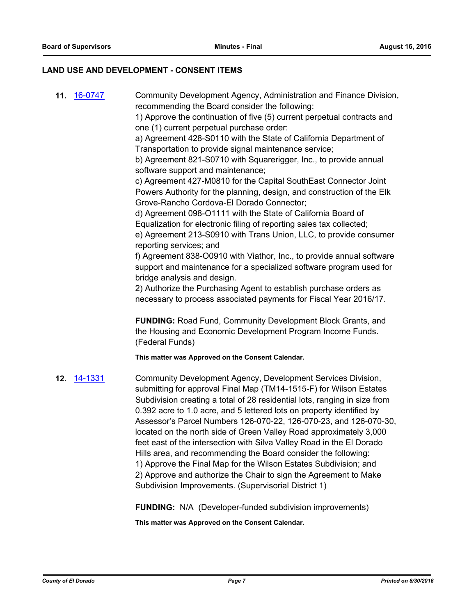#### **LAND USE AND DEVELOPMENT - CONSENT ITEMS**

**11.** [16-0747](http://eldorado.legistar.com/gateway.aspx?m=l&id=/matter.aspx?key=21405) Community Development Agency, Administration and Finance Division, recommending the Board consider the following:

> 1) Approve the continuation of five (5) current perpetual contracts and one (1) current perpetual purchase order:

a) Agreement 428-S0110 with the State of California Department of Transportation to provide signal maintenance service;

b) Agreement 821-S0710 with Squarerigger, Inc., to provide annual software support and maintenance;

c) Agreement 427-M0810 for the Capital SouthEast Connector Joint Powers Authority for the planning, design, and construction of the Elk Grove-Rancho Cordova-El Dorado Connector;

d) Agreement 098-O1111 with the State of California Board of Equalization for electronic filing of reporting sales tax collected;

e) Agreement 213-S0910 with Trans Union, LLC, to provide consumer reporting services; and

f) Agreement 838-O0910 with Viathor, Inc., to provide annual software support and maintenance for a specialized software program used for bridge analysis and design.

2) Authorize the Purchasing Agent to establish purchase orders as necessary to process associated payments for Fiscal Year 2016/17.

**FUNDING:** Road Fund, Community Development Block Grants, and the Housing and Economic Development Program Income Funds. (Federal Funds)

**This matter was Approved on the Consent Calendar.**

**12.** [14-1331](http://eldorado.legistar.com/gateway.aspx?m=l&id=/matter.aspx?key=18815) Community Development Agency, Development Services Division, submitting for approval Final Map (TM14-1515-F) for Wilson Estates Subdivision creating a total of 28 residential lots, ranging in size from 0.392 acre to 1.0 acre, and 5 lettered lots on property identified by Assessor's Parcel Numbers 126-070-22, 126-070-23, and 126-070-30, located on the north side of Green Valley Road approximately 3,000 feet east of the intersection with Silva Valley Road in the El Dorado Hills area, and recommending the Board consider the following: 1) Approve the Final Map for the Wilson Estates Subdivision; and 2) Approve and authorize the Chair to sign the Agreement to Make Subdivision Improvements. (Supervisorial District 1)

**FUNDING:** N/A (Developer-funded subdivision improvements)

**This matter was Approved on the Consent Calendar.**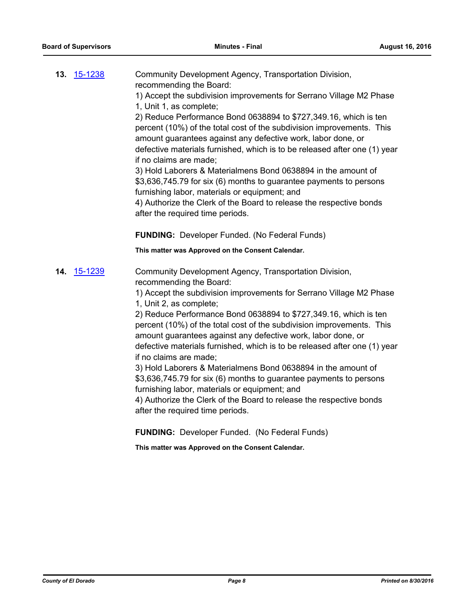| <b>13.</b> 15-1238 | Community Development Agency, Transportation Division,<br>recommending the Board:<br>1) Accept the subdivision improvements for Serrano Village M2 Phase<br>1, Unit 1, as complete;<br>2) Reduce Performance Bond 0638894 to \$727,349.16, which is ten<br>percent (10%) of the total cost of the subdivision improvements. This<br>amount guarantees against any defective work, labor done, or<br>defective materials furnished, which is to be released after one (1) year<br>if no claims are made;<br>3) Hold Laborers & Materialmens Bond 0638894 in the amount of<br>\$3,636,745.79 for six (6) months to guarantee payments to persons<br>furnishing labor, materials or equipment; and<br>4) Authorize the Clerk of the Board to release the respective bonds<br>after the required time periods.<br><b>FUNDING:</b> Developer Funded. (No Federal Funds)<br>This matter was Approved on the Consent Calendar. |
|--------------------|-------------------------------------------------------------------------------------------------------------------------------------------------------------------------------------------------------------------------------------------------------------------------------------------------------------------------------------------------------------------------------------------------------------------------------------------------------------------------------------------------------------------------------------------------------------------------------------------------------------------------------------------------------------------------------------------------------------------------------------------------------------------------------------------------------------------------------------------------------------------------------------------------------------------------|
| 14. 15-1239        | Community Development Agency, Transportation Division,<br>recommending the Board:<br>1) Accept the subdivision improvements for Serrano Village M2 Phase<br>1, Unit 2, as complete;<br>2) Reduce Performance Bond 0638894 to \$727,349.16, which is ten<br>percent (10%) of the total cost of the subdivision improvements. This<br>amount guarantees against any defective work, labor done, or<br>defective materials furnished, which is to be released after one (1) year<br>if no claims are made;<br>3) Hold Laborers & Materialmens Bond 0638894 in the amount of<br>\$3,636,745.79 for six (6) months to guarantee payments to persons<br>furnishing labor, materials or equipment; and<br>4) Authorize the Clerk of the Board to release the respective bonds<br>after the required time periods.<br><b>FUNDING:</b> Developer Funded. (No Federal Funds)<br>This matter was Approved on the Consent Calendar. |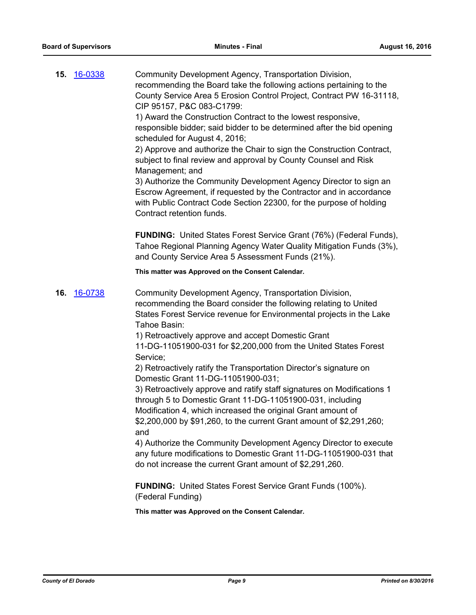| 15. | 16-0338        | Community Development Agency, Transportation Division,<br>recommending the Board take the following actions pertaining to the<br>County Service Area 5 Erosion Control Project, Contract PW 16-31118,<br>CIP 95157, P&C 083-C1799:<br>1) Award the Construction Contract to the lowest responsive,<br>responsible bidder; said bidder to be determined after the bid opening<br>scheduled for August 4, 2016;<br>2) Approve and authorize the Chair to sign the Construction Contract,<br>subject to final review and approval by County Counsel and Risk<br>Management; and<br>3) Authorize the Community Development Agency Director to sign an<br>Escrow Agreement, if requested by the Contractor and in accordance<br>with Public Contract Code Section 22300, for the purpose of holding<br>Contract retention funds.<br>FUNDING: United States Forest Service Grant (76%) (Federal Funds),<br>Tahoe Regional Planning Agency Water Quality Mitigation Funds (3%),<br>and County Service Area 5 Assessment Funds (21%).                               |
|-----|----------------|-------------------------------------------------------------------------------------------------------------------------------------------------------------------------------------------------------------------------------------------------------------------------------------------------------------------------------------------------------------------------------------------------------------------------------------------------------------------------------------------------------------------------------------------------------------------------------------------------------------------------------------------------------------------------------------------------------------------------------------------------------------------------------------------------------------------------------------------------------------------------------------------------------------------------------------------------------------------------------------------------------------------------------------------------------------|
|     |                | This matter was Approved on the Consent Calendar.                                                                                                                                                                                                                                                                                                                                                                                                                                                                                                                                                                                                                                                                                                                                                                                                                                                                                                                                                                                                           |
|     |                |                                                                                                                                                                                                                                                                                                                                                                                                                                                                                                                                                                                                                                                                                                                                                                                                                                                                                                                                                                                                                                                             |
| 16. | <u>16-0738</u> | Community Development Agency, Transportation Division,<br>recommending the Board consider the following relating to United<br>States Forest Service revenue for Environmental projects in the Lake<br>Tahoe Basin:<br>1) Retroactively approve and accept Domestic Grant<br>11-DG-11051900-031 for \$2,200,000 from the United States Forest<br>Service;<br>2) Retroactively ratify the Transportation Director's signature on<br>Domestic Grant 11-DG-11051900-031;<br>3) Retroactively approve and ratify staff signatures on Modifications 1<br>through 5 to Domestic Grant 11-DG-11051900-031, including<br>Modification 4, which increased the original Grant amount of<br>\$2,200,000 by \$91,260, to the current Grant amount of \$2,291,260;<br>and<br>4) Authorize the Community Development Agency Director to execute<br>any future modifications to Domestic Grant 11-DG-11051900-031 that<br>do not increase the current Grant amount of \$2,291,260.<br><b>FUNDING:</b> United States Forest Service Grant Funds (100%).<br>(Federal Funding) |
|     |                | This matter was Approved on the Consent Calendar.                                                                                                                                                                                                                                                                                                                                                                                                                                                                                                                                                                                                                                                                                                                                                                                                                                                                                                                                                                                                           |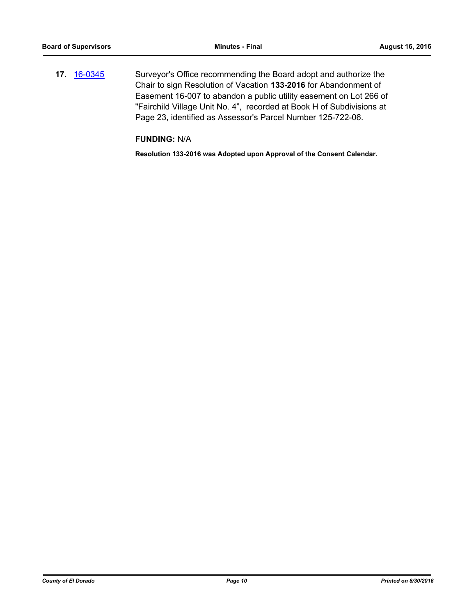**17.** [16-0345](http://eldorado.legistar.com/gateway.aspx?m=l&id=/matter.aspx?key=21001) Surveyor's Office recommending the Board adopt and authorize the Chair to sign Resolution of Vacation **133-2016** for Abandonment of Easement 16-007 to abandon a public utility easement on Lot 266 of "Fairchild Village Unit No. 4", recorded at Book H of Subdivisions at Page 23, identified as Assessor's Parcel Number 125-722-06.

**FUNDING:** N/A

**Resolution 133-2016 was Adopted upon Approval of the Consent Calendar.**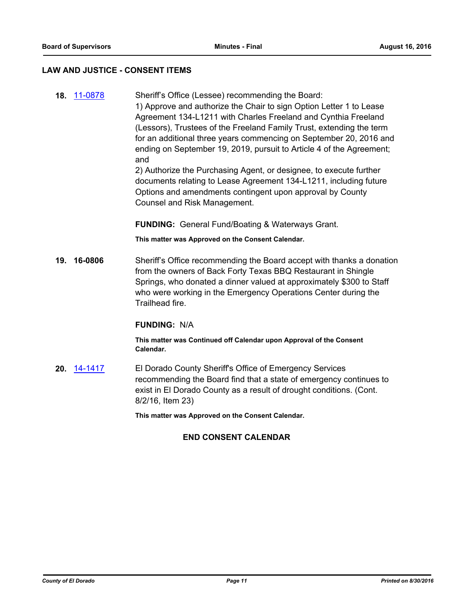#### **LAW AND JUSTICE - CONSENT ITEMS**

**18.** [11-0878](http://eldorado.legistar.com/gateway.aspx?m=l&id=/matter.aspx?key=13721) Sheriff's Office (Lessee) recommending the Board: 1) Approve and authorize the Chair to sign Option Letter 1 to Lease Agreement 134-L1211 with Charles Freeland and Cynthia Freeland (Lessors), Trustees of the Freeland Family Trust, extending the term for an additional three years commencing on September 20, 2016 and ending on September 19, 2019, pursuit to Article 4 of the Agreement; and

2) Authorize the Purchasing Agent, or designee, to execute further documents relating to Lease Agreement 134-L1211, including future Options and amendments contingent upon approval by County Counsel and Risk Management.

**FUNDING:** General Fund/Boating & Waterways Grant.

**This matter was Approved on the Consent Calendar.**

**19. 16-0806** Sheriff's Office recommending the Board accept with thanks a donation from the owners of Back Forty Texas BBQ Restaurant in Shingle Springs, who donated a dinner valued at approximately \$300 to Staff who were working in the Emergency Operations Center during the Trailhead fire.

#### **FUNDING:** N/A

**This matter was Continued off Calendar upon Approval of the Consent Calendar.**

**20.** [14-1417](http://eldorado.legistar.com/gateway.aspx?m=l&id=/matter.aspx?key=18901) El Dorado County Sheriff's Office of Emergency Services recommending the Board find that a state of emergency continues to exist in El Dorado County as a result of drought conditions. (Cont. 8/2/16, Item 23)

**This matter was Approved on the Consent Calendar.**

# **END CONSENT CALENDAR**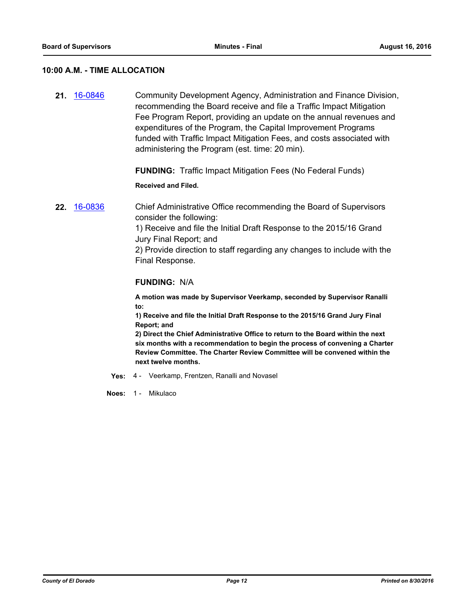#### **10:00 A.M. - TIME ALLOCATION**

**21.** [16-0846](http://eldorado.legistar.com/gateway.aspx?m=l&id=/matter.aspx?key=21504) Community Development Agency, Administration and Finance Division, recommending the Board receive and file a Traffic Impact Mitigation Fee Program Report, providing an update on the annual revenues and expenditures of the Program, the Capital Improvement Programs funded with Traffic Impact Mitigation Fees, and costs associated with administering the Program (est. time: 20 min).

**FUNDING:** Traffic Impact Mitigation Fees (No Federal Funds)

**Received and Filed.**

**22.** [16-0836](http://eldorado.legistar.com/gateway.aspx?m=l&id=/matter.aspx?key=21494) Chief Administrative Office recommending the Board of Supervisors consider the following: 1) Receive and file the Initial Draft Response to the 2015/16 Grand Jury Final Report; and 2) Provide direction to staff regarding any changes to include with the Final Response.

#### **FUNDING:** N/A

**A motion was made by Supervisor Veerkamp, seconded by Supervisor Ranalli to:**

**1) Receive and file the Initial Draft Response to the 2015/16 Grand Jury Final Report; and**

**2) Direct the Chief Administrative Office to return to the Board within the next six months with a recommendation to begin the process of convening a Charter Review Committee. The Charter Review Committee will be convened within the next twelve months.**

**Yes:** 4 - Veerkamp, Frentzen, Ranalli and Novasel

**Noes:** 1 - Mikulaco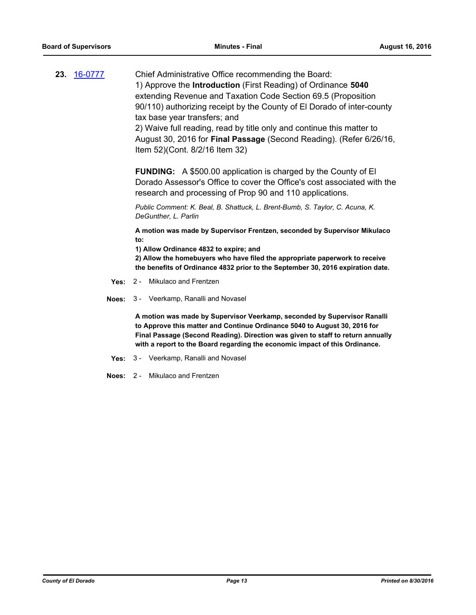**23.** [16-0777](http://eldorado.legistar.com/gateway.aspx?m=l&id=/matter.aspx?key=21435) Chief Administrative Office recommending the Board: 1) Approve the **Introduction** (First Reading) of Ordinance **5040**  extending Revenue and Taxation Code Section 69.5 (Proposition 90/110) authorizing receipt by the County of El Dorado of inter-county tax base year transfers; and 2) Waive full reading, read by title only and continue this matter to August 30, 2016 for **Final Passage** (Second Reading). (Refer 6/26/16,

Item 52)(Cont. 8/2/16 Item 32)

**FUNDING:** A \$500.00 application is charged by the County of El Dorado Assessor's Office to cover the Office's cost associated with the research and processing of Prop 90 and 110 applications.

*Public Comment: K. Beal, B. Shattuck, L. Brent-Bumb, S. Taylor, C. Acuna, K. DeGunther, L. Parlin*

**A motion was made by Supervisor Frentzen, seconded by Supervisor Mikulaco to:**

**1) Allow Ordinance 4832 to expire; and**

**2) Allow the homebuyers who have filed the appropriate paperwork to receive the benefits of Ordinance 4832 prior to the September 30, 2016 expiration date.**

- **Yes:** 2 Mikulaco and Frentzen
- **Noes:** 3 Veerkamp, Ranalli and Novasel

**A motion was made by Supervisor Veerkamp, seconded by Supervisor Ranalli to Approve this matter and Continue Ordinance 5040 to August 30, 2016 for Final Passage (Second Reading). Direction was given to staff to return annually with a report to the Board regarding the economic impact of this Ordinance.**

- **Yes:** 3 Veerkamp, Ranalli and Novasel
- **Noes:** 2 Mikulaco and Frentzen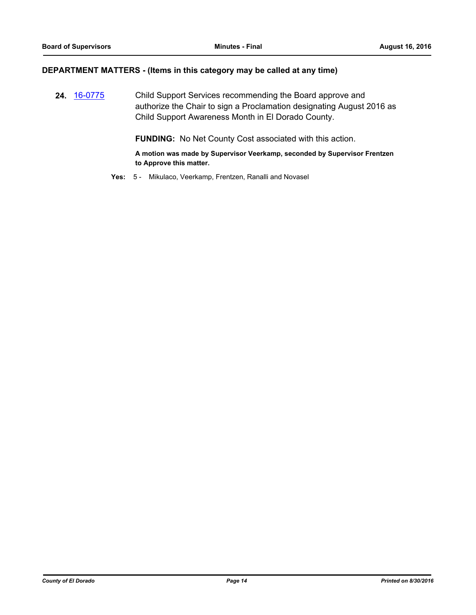#### **DEPARTMENT MATTERS - (Items in this category may be called at any time)**

**24.** [16-0775](http://eldorado.legistar.com/gateway.aspx?m=l&id=/matter.aspx?key=21433) Child Support Services recommending the Board approve and authorize the Chair to sign a Proclamation designating August 2016 as Child Support Awareness Month in El Dorado County.

**FUNDING:** No Net County Cost associated with this action.

**A motion was made by Supervisor Veerkamp, seconded by Supervisor Frentzen to Approve this matter.**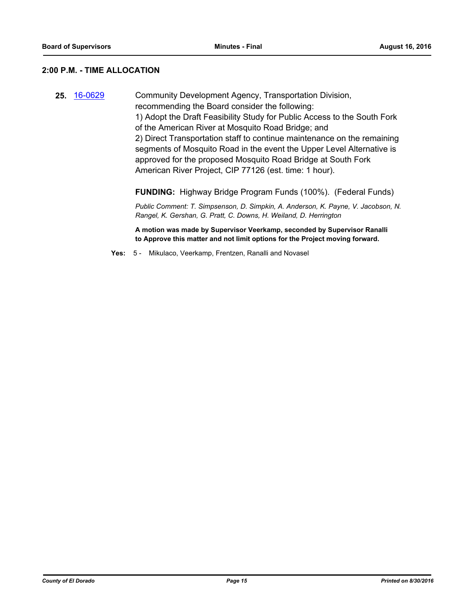# **2:00 P.M. - TIME ALLOCATION**

| 25. | 16-0629 | Community Development Agency, Transportation Division,<br>recommending the Board consider the following:<br>1) Adopt the Draft Feasibility Study for Public Access to the South Fork<br>of the American River at Mosquito Road Bridge; and<br>2) Direct Transportation staff to continue maintenance on the remaining<br>segments of Mosquito Road in the event the Upper Level Alternative is<br>approved for the proposed Mosquito Road Bridge at South Fork<br>American River Project, CIP 77126 (est. time: 1 hour). |
|-----|---------|--------------------------------------------------------------------------------------------------------------------------------------------------------------------------------------------------------------------------------------------------------------------------------------------------------------------------------------------------------------------------------------------------------------------------------------------------------------------------------------------------------------------------|
|     |         | <b>FUNDING:</b> Highway Bridge Program Funds (100%). (Federal Funds)                                                                                                                                                                                                                                                                                                                                                                                                                                                     |
|     |         | Public Comment: T. Simpsenson, D. Simpkin, A. Anderson, K. Payne, V. Jacobson, N.<br>Rangel, K. Gershan, G. Pratt, C. Downs, H. Weiland, D. Herrington                                                                                                                                                                                                                                                                                                                                                                   |

**A motion was made by Supervisor Veerkamp, seconded by Supervisor Ranalli to Approve this matter and not limit options for the Project moving forward.**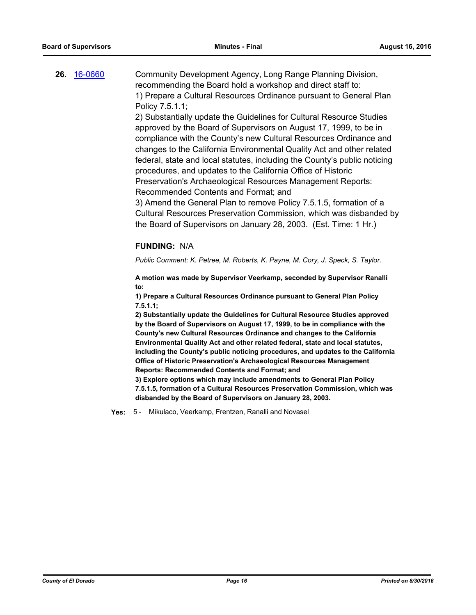| 26. 16-0660 | Community Development Agency, Long Range Planning Division,        |
|-------------|--------------------------------------------------------------------|
|             | recommending the Board hold a workshop and direct staff to:        |
|             | 1) Prepare a Cultural Resources Ordinance pursuant to General Plan |
|             | Policy 7.5.1.1;                                                    |

2) Substantially update the Guidelines for Cultural Resource Studies approved by the Board of Supervisors on August 17, 1999, to be in compliance with the County's new Cultural Resources Ordinance and changes to the California Environmental Quality Act and other related federal, state and local statutes, including the County's public noticing procedures, and updates to the California Office of Historic Preservation's Archaeological Resources Management Reports: Recommended Contents and Format; and

3) Amend the General Plan to remove Policy 7.5.1.5, formation of a Cultural Resources Preservation Commission, which was disbanded by the Board of Supervisors on January 28, 2003. (Est. Time: 1 Hr.)

#### **FUNDING:** N/A

*Public Comment: K. Petree, M. Roberts, K. Payne, M. Cory, J. Speck, S. Taylor.*

**A motion was made by Supervisor Veerkamp, seconded by Supervisor Ranalli to:**

**1) Prepare a Cultural Resources Ordinance pursuant to General Plan Policy 7.5.1.1;** 

**2) Substantially update the Guidelines for Cultural Resource Studies approved by the Board of Supervisors on August 17, 1999, to be in compliance with the County's new Cultural Resources Ordinance and changes to the California Environmental Quality Act and other related federal, state and local statutes, including the County's public noticing procedures, and updates to the California Office of Historic Preservation's Archaeological Resources Management Reports: Recommended Contents and Format; and**

**3) Explore options which may include amendments to General Plan Policy 7.5.1.5, formation of a Cultural Resources Preservation Commission, which was disbanded by the Board of Supervisors on January 28, 2003.**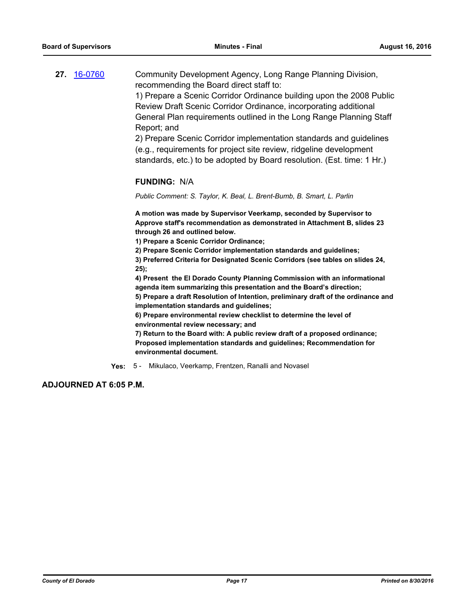|  | 27. 16-0760 | Community Development Agency, Long Range Planning Division,                                                                                                         |
|--|-------------|---------------------------------------------------------------------------------------------------------------------------------------------------------------------|
|  |             | recommending the Board direct staff to:                                                                                                                             |
|  |             | 1) Prepare a Scenic Corridor Ordinance building upon the 2008 Public                                                                                                |
|  |             | Review Draft Scenic Corridor Ordinance, incorporating additional                                                                                                    |
|  |             | $\bigcap$ and $\bigcap$ and $\bigcap$ and $\bigcap$ and $\bigcap$ and $\bigcap$ and $\bigcap$ and $\bigcap$ and $\bigcap$ and $\bigcap$ and $\bigcap$ and $\bigcap$ |

General Plan requirements outlined in the Long Range Planning Staff Report; and

2) Prepare Scenic Corridor implementation standards and guidelines (e.g., requirements for project site review, ridgeline development standards, etc.) to be adopted by Board resolution. (Est. time: 1 Hr.)

#### **FUNDING:** N/A

*Public Comment: S. Taylor, K. Beal, L. Brent-Bumb, B. Smart, L. Parlin*

**A motion was made by Supervisor Veerkamp, seconded by Supervisor to Approve staff's recommendation as demonstrated in Attachment B, slides 23 through 26 and outlined below.**

**1) Prepare a Scenic Corridor Ordinance;**

**2) Prepare Scenic Corridor implementation standards and guidelines;**

**3) Preferred Criteria for Designated Scenic Corridors (see tables on slides 24, 25);**

**4) Present the El Dorado County Planning Commission with an informational agenda item summarizing this presentation and the Board's direction;**

**5) Prepare a draft Resolution of Intention, preliminary draft of the ordinance and implementation standards and guidelines;**

**6) Prepare environmental review checklist to determine the level of environmental review necessary; and**

**7) Return to the Board with: A public review draft of a proposed ordinance; Proposed implementation standards and guidelines; Recommendation for environmental document.**

**Yes:** 5 - Mikulaco, Veerkamp, Frentzen, Ranalli and Novasel

**ADJOURNED AT 6:05 P.M.**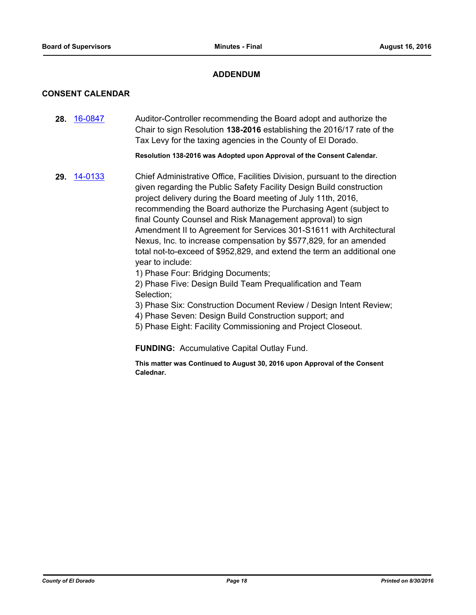# **ADDENDUM**

# **CONSENT CALENDAR**

**28.** [16-0847](http://eldorado.legistar.com/gateway.aspx?m=l&id=/matter.aspx?key=21505) Auditor-Controller recommending the Board adopt and authorize the Chair to sign Resolution **138-2016** establishing the 2016/17 rate of the Tax Levy for the taxing agencies in the County of El Dorado.

**Resolution 138-2016 was Adopted upon Approval of the Consent Calendar.**

**29.** [14-0133](http://eldorado.legistar.com/gateway.aspx?m=l&id=/matter.aspx?key=17616) Chief Administrative Office, Facilities Division, pursuant to the direction given regarding the Public Safety Facility Design Build construction project delivery during the Board meeting of July 11th, 2016, recommending the Board authorize the Purchasing Agent (subject to final County Counsel and Risk Management approval) to sign Amendment II to Agreement for Services 301-S1611 with Architectural Nexus, Inc. to increase compensation by \$577,829, for an amended total not-to-exceed of \$952,829, and extend the term an additional one year to include:

1) Phase Four: Bridging Documents;

2) Phase Five: Design Build Team Prequalification and Team Selection;

- 3) Phase Six: Construction Document Review / Design Intent Review;
- 4) Phase Seven: Design Build Construction support; and
- 5) Phase Eight: Facility Commissioning and Project Closeout.

**FUNDING:** Accumulative Capital Outlay Fund.

**This matter was Continued to August 30, 2016 upon Approval of the Consent Calednar.**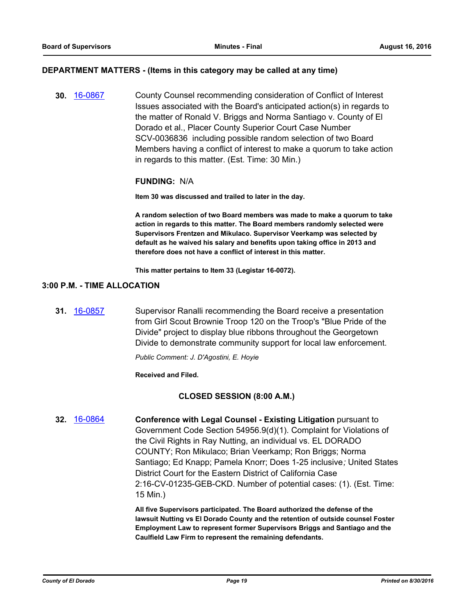#### **DEPARTMENT MATTERS - (Items in this category may be called at any time)**

**30.** [16-0867](http://eldorado.legistar.com/gateway.aspx?m=l&id=/matter.aspx?key=21525) County Counsel recommending consideration of Conflict of Interest Issues associated with the Board's anticipated action(s) in regards to the matter of Ronald V. Briggs and Norma Santiago v. County of El Dorado et al., Placer County Superior Court Case Number SCV-0036836 including possible random selection of two Board Members having a conflict of interest to make a quorum to take action in regards to this matter. (Est. Time: 30 Min.)

#### **FUNDING:** N/A

**Item 30 was discussed and trailed to later in the day.**

**A random selection of two Board members was made to make a quorum to take action in regards to this matter. The Board members randomly selected were Supervisors Frentzen and Mikulaco. Supervisor Veerkamp was selected by default as he waived his salary and benefits upon taking office in 2013 and therefore does not have a conflict of interest in this matter.**

**This matter pertains to Item 33 (Legistar 16-0072).**

#### **3:00 P.M. - TIME ALLOCATION**

**31.** [16-0857](http://eldorado.legistar.com/gateway.aspx?m=l&id=/matter.aspx?key=21515) Supervisor Ranalli recommending the Board receive a presentation from Girl Scout Brownie Troop 120 on the Troop's "Blue Pride of the Divide" project to display blue ribbons throughout the Georgetown Divide to demonstrate community support for local law enforcement.

*Public Comment: J. D'Agostini, E. Hoyie*

**Received and Filed.**

#### **CLOSED SESSION (8:00 A.M.)**

**32.** [16-0864](http://eldorado.legistar.com/gateway.aspx?m=l&id=/matter.aspx?key=21522) **Conference with Legal Counsel - Existing Litigation** pursuant to Government Code Section 54956.9(d)(1). Complaint for Violations of the Civil Rights in Ray Nutting, an individual vs. EL DORADO COUNTY; Ron Mikulaco; Brian Veerkamp; Ron Briggs; Norma Santiago; Ed Knapp; Pamela Knorr; Does 1-25 inclusive*;* United States District Court for the Eastern District of California Case 2:16-CV-01235-GEB-CKD. Number of potential cases: (1). (Est. Time: 15 Min.)

> **All five Supervisors participated. The Board authorized the defense of the lawsuit Nutting vs El Dorado County and the retention of outside counsel Foster Employment Law to represent former Supervisors Briggs and Santiago and the Caulfield Law Firm to represent the remaining defendants.**